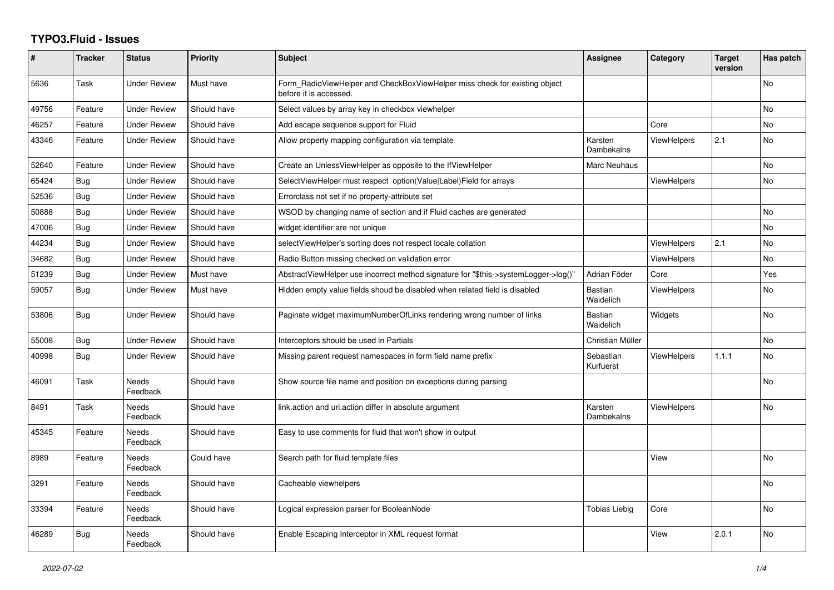## **TYPO3.Fluid - Issues**

| #     | <b>Tracker</b> | <b>Status</b>            | <b>Priority</b> | <b>Subject</b>                                                                                       | Assignee                    | Category           | <b>Target</b><br>version | Has patch      |
|-------|----------------|--------------------------|-----------------|------------------------------------------------------------------------------------------------------|-----------------------------|--------------------|--------------------------|----------------|
| 5636  | Task           | <b>Under Review</b>      | Must have       | Form RadioViewHelper and CheckBoxViewHelper miss check for existing object<br>before it is accessed. |                             |                    |                          | No             |
| 49756 | Feature        | <b>Under Review</b>      | Should have     | Select values by array key in checkbox viewhelper                                                    |                             |                    |                          | <b>No</b>      |
| 46257 | Feature        | <b>Under Review</b>      | Should have     | Add escape sequence support for Fluid                                                                |                             | Core               |                          | <b>No</b>      |
| 43346 | Feature        | <b>Under Review</b>      | Should have     | Allow property mapping configuration via template                                                    | Karsten<br>Dambekalns       | <b>ViewHelpers</b> | 2.1                      | No             |
| 52640 | Feature        | <b>Under Review</b>      | Should have     | Create an UnlessViewHelper as opposite to the IfViewHelper                                           | Marc Neuhaus                |                    |                          | N <sub>o</sub> |
| 65424 | Bug            | <b>Under Review</b>      | Should have     | SelectViewHelper must respect option(Value Label)Field for arrays                                    |                             | <b>ViewHelpers</b> |                          | <b>No</b>      |
| 52536 | <b>Bug</b>     | <b>Under Review</b>      | Should have     | Errorclass not set if no property-attribute set                                                      |                             |                    |                          |                |
| 50888 | <b>Bug</b>     | Under Review             | Should have     | WSOD by changing name of section and if Fluid caches are generated                                   |                             |                    |                          | N <sub>o</sub> |
| 47006 | Bug            | <b>Under Review</b>      | Should have     | widget identifier are not unique                                                                     |                             |                    |                          | <b>No</b>      |
| 44234 | Bug            | <b>Under Review</b>      | Should have     | selectViewHelper's sorting does not respect locale collation                                         |                             | <b>ViewHelpers</b> | 2.1                      | No             |
| 34682 | <b>Bug</b>     | Under Review             | Should have     | Radio Button missing checked on validation error                                                     |                             | <b>ViewHelpers</b> |                          | <b>No</b>      |
| 51239 | Bug            | <b>Under Review</b>      | Must have       | AbstractViewHelper use incorrect method signature for "\$this->systemLogger->log()"                  | Adrian Föder                | Core               |                          | Yes            |
| 59057 | Bug            | <b>Under Review</b>      | Must have       | Hidden empty value fields shoud be disabled when related field is disabled                           | <b>Bastian</b><br>Waidelich | <b>ViewHelpers</b> |                          | No             |
| 53806 | <b>Bug</b>     | <b>Under Review</b>      | Should have     | Paginate widget maximumNumberOfLinks rendering wrong number of links                                 | <b>Bastian</b><br>Waidelich | Widgets            |                          | <b>No</b>      |
| 55008 | Bug            | <b>Under Review</b>      | Should have     | Interceptors should be used in Partials                                                              | Christian Müller            |                    |                          | <b>No</b>      |
| 40998 | Bug            | <b>Under Review</b>      | Should have     | Missing parent request namespaces in form field name prefix                                          | Sebastian<br>Kurfuerst      | <b>ViewHelpers</b> | 1.1.1                    | No             |
| 46091 | Task           | <b>Needs</b><br>Feedback | Should have     | Show source file name and position on exceptions during parsing                                      |                             |                    |                          | <b>No</b>      |
| 8491  | Task           | Needs<br>Feedback        | Should have     | link action and uri action differ in absolute argument                                               | Karsten<br>Dambekalns       | <b>ViewHelpers</b> |                          | <b>No</b>      |
| 45345 | Feature        | Needs<br>Feedback        | Should have     | Easy to use comments for fluid that won't show in output                                             |                             |                    |                          |                |
| 8989  | Feature        | Needs<br>Feedback        | Could have      | Search path for fluid template files                                                                 |                             | View               |                          | <b>No</b>      |
| 3291  | Feature        | <b>Needs</b><br>Feedback | Should have     | Cacheable viewhelpers                                                                                |                             |                    |                          | <b>No</b>      |
| 33394 | Feature        | Needs<br>Feedback        | Should have     | Logical expression parser for BooleanNode                                                            | <b>Tobias Liebig</b>        | Core               |                          | No             |
| 46289 | <b>Bug</b>     | Needs<br>Feedback        | Should have     | Enable Escaping Interceptor in XML request format                                                    |                             | View               | 2.0.1                    | <b>No</b>      |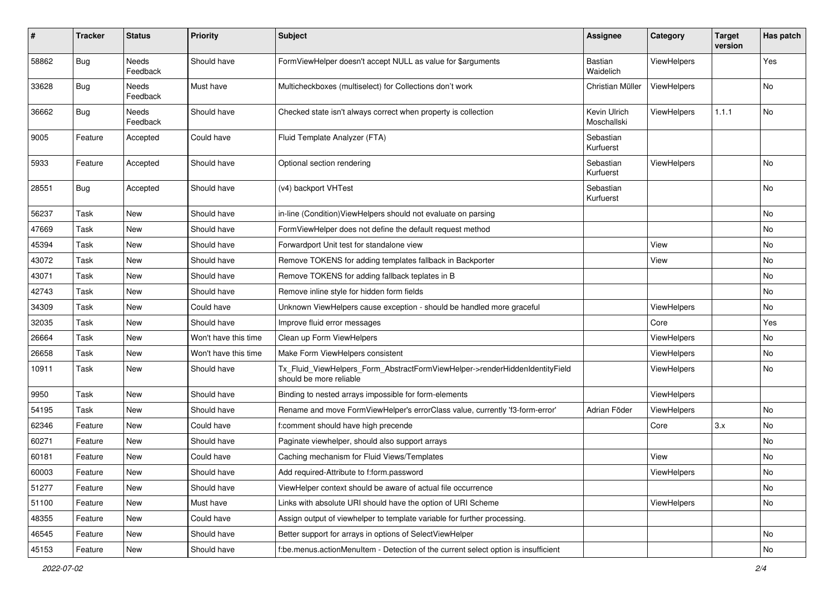| #     | <b>Tracker</b> | <b>Status</b>            | <b>Priority</b>      | <b>Subject</b>                                                                                         | <b>Assignee</b>             | Category           | <b>Target</b><br>version | Has patch |
|-------|----------------|--------------------------|----------------------|--------------------------------------------------------------------------------------------------------|-----------------------------|--------------------|--------------------------|-----------|
| 58862 | Bug            | <b>Needs</b><br>Feedback | Should have          | FormViewHelper doesn't accept NULL as value for \$arguments                                            | Bastian<br>Waidelich        | ViewHelpers        |                          | Yes       |
| 33628 | Bug            | Needs<br>Feedback        | Must have            | Multicheckboxes (multiselect) for Collections don't work                                               | Christian Müller            | <b>ViewHelpers</b> |                          | No        |
| 36662 | Bug            | Needs<br>Feedback        | Should have          | Checked state isn't always correct when property is collection                                         | Kevin Ulrich<br>Moschallski | <b>ViewHelpers</b> | 1.1.1                    | No        |
| 9005  | Feature        | Accepted                 | Could have           | Fluid Template Analyzer (FTA)                                                                          | Sebastian<br>Kurfuerst      |                    |                          |           |
| 5933  | Feature        | Accepted                 | Should have          | Optional section rendering                                                                             | Sebastian<br>Kurfuerst      | ViewHelpers        |                          | No        |
| 28551 | Bug            | Accepted                 | Should have          | (v4) backport VHTest                                                                                   | Sebastian<br>Kurfuerst      |                    |                          | No        |
| 56237 | Task           | New                      | Should have          | in-line (Condition) View Helpers should not evaluate on parsing                                        |                             |                    |                          | No        |
| 47669 | Task           | New                      | Should have          | FormViewHelper does not define the default request method                                              |                             |                    |                          | No        |
| 45394 | Task           | New                      | Should have          | Forwardport Unit test for standalone view                                                              |                             | View               |                          | No        |
| 43072 | Task           | New                      | Should have          | Remove TOKENS for adding templates fallback in Backporter                                              |                             | View               |                          | No        |
| 43071 | Task           | New                      | Should have          | Remove TOKENS for adding fallback teplates in B                                                        |                             |                    |                          | No        |
| 42743 | Task           | New                      | Should have          | Remove inline style for hidden form fields                                                             |                             |                    |                          | No        |
| 34309 | Task           | New                      | Could have           | Unknown ViewHelpers cause exception - should be handled more graceful                                  |                             | ViewHelpers        |                          | No        |
| 32035 | Task           | New                      | Should have          | Improve fluid error messages                                                                           |                             | Core               |                          | Yes       |
| 26664 | Task           | New                      | Won't have this time | Clean up Form ViewHelpers                                                                              |                             | ViewHelpers        |                          | No        |
| 26658 | Task           | New                      | Won't have this time | Make Form ViewHelpers consistent                                                                       |                             | ViewHelpers        |                          | No        |
| 10911 | Task           | New                      | Should have          | Tx_Fluid_ViewHelpers_Form_AbstractFormViewHelper->renderHiddenIdentityField<br>should be more reliable |                             | ViewHelpers        |                          | No        |
| 9950  | Task           | New                      | Should have          | Binding to nested arrays impossible for form-elements                                                  |                             | ViewHelpers        |                          |           |
| 54195 | Task           | New                      | Should have          | Rename and move FormViewHelper's errorClass value, currently 'f3-form-error'                           | Adrian Föder                | ViewHelpers        |                          | No        |
| 62346 | Feature        | New                      | Could have           | f:comment should have high precende                                                                    |                             | Core               | 3.x                      | No        |
| 60271 | Feature        | New                      | Should have          | Paginate viewhelper, should also support arrays                                                        |                             |                    |                          | No        |
| 60181 | Feature        | New                      | Could have           | Caching mechanism for Fluid Views/Templates                                                            |                             | View               |                          | No        |
| 60003 | Feature        | New                      | Should have          | Add required-Attribute to f:form.password                                                              |                             | ViewHelpers        |                          | No        |
| 51277 | Feature        | New                      | Should have          | ViewHelper context should be aware of actual file occurrence                                           |                             |                    |                          | No        |
| 51100 | Feature        | New                      | Must have            | Links with absolute URI should have the option of URI Scheme                                           |                             | ViewHelpers        |                          | No        |
| 48355 | Feature        | New                      | Could have           | Assign output of viewhelper to template variable for further processing.                               |                             |                    |                          |           |
| 46545 | Feature        | New                      | Should have          | Better support for arrays in options of SelectViewHelper                                               |                             |                    |                          | No        |
| 45153 | Feature        | New                      | Should have          | f:be.menus.actionMenuItem - Detection of the current select option is insufficient                     |                             |                    |                          | No        |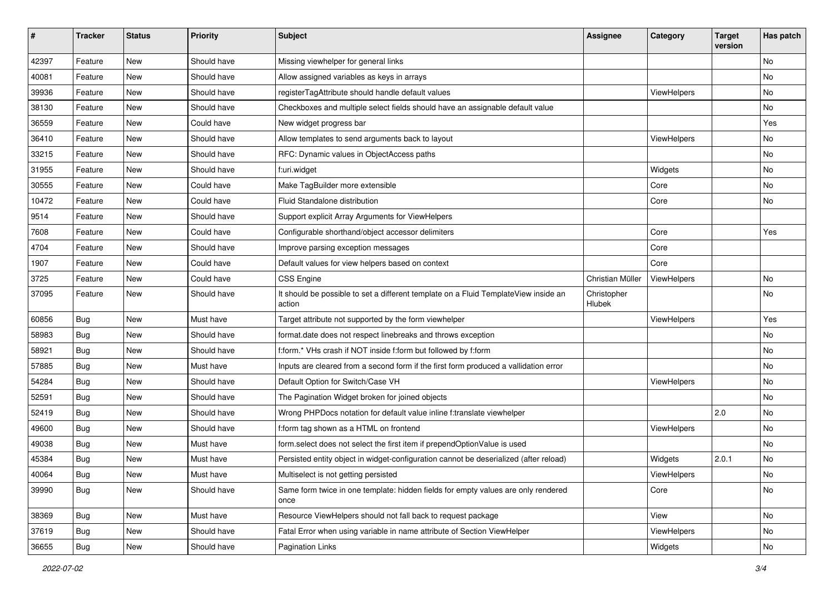| #     | <b>Tracker</b> | <b>Status</b> | <b>Priority</b> | <b>Subject</b>                                                                                | <b>Assignee</b>       | Category           | <b>Target</b><br>version | Has patch |
|-------|----------------|---------------|-----------------|-----------------------------------------------------------------------------------------------|-----------------------|--------------------|--------------------------|-----------|
| 42397 | Feature        | New           | Should have     | Missing viewhelper for general links                                                          |                       |                    |                          | <b>No</b> |
| 40081 | Feature        | New           | Should have     | Allow assigned variables as keys in arrays                                                    |                       |                    |                          | No        |
| 39936 | Feature        | New           | Should have     | registerTagAttribute should handle default values                                             |                       | ViewHelpers        |                          | No        |
| 38130 | Feature        | New           | Should have     | Checkboxes and multiple select fields should have an assignable default value                 |                       |                    |                          | No        |
| 36559 | Feature        | New           | Could have      | New widget progress bar                                                                       |                       |                    |                          | Yes       |
| 36410 | Feature        | New           | Should have     | Allow templates to send arguments back to layout                                              |                       | ViewHelpers        |                          | No        |
| 33215 | Feature        | New           | Should have     | RFC: Dynamic values in ObjectAccess paths                                                     |                       |                    |                          | No        |
| 31955 | Feature        | New           | Should have     | f:uri.widget                                                                                  |                       | Widgets            |                          | No        |
| 30555 | Feature        | <b>New</b>    | Could have      | Make TagBuilder more extensible                                                               |                       | Core               |                          | No        |
| 10472 | Feature        | New           | Could have      | Fluid Standalone distribution                                                                 |                       | Core               |                          | No        |
| 9514  | Feature        | New           | Should have     | Support explicit Array Arguments for ViewHelpers                                              |                       |                    |                          |           |
| 7608  | Feature        | New           | Could have      | Configurable shorthand/object accessor delimiters                                             |                       | Core               |                          | Yes       |
| 4704  | Feature        | New           | Should have     | Improve parsing exception messages                                                            |                       | Core               |                          |           |
| 1907  | Feature        | <b>New</b>    | Could have      | Default values for view helpers based on context                                              |                       | Core               |                          |           |
| 3725  | Feature        | New           | Could have      | <b>CSS Engine</b>                                                                             | Christian Müller      | <b>ViewHelpers</b> |                          | No        |
| 37095 | Feature        | New           | Should have     | It should be possible to set a different template on a Fluid TemplateView inside an<br>action | Christopher<br>Hlubek |                    |                          | <b>No</b> |
| 60856 | Bug            | New           | Must have       | Target attribute not supported by the form viewhelper                                         |                       | ViewHelpers        |                          | Yes       |
| 58983 | Bug            | New           | Should have     | format.date does not respect linebreaks and throws exception                                  |                       |                    |                          | No        |
| 58921 | Bug            | New           | Should have     | f:form.* VHs crash if NOT inside f:form but followed by f:form                                |                       |                    |                          | No        |
| 57885 | Bug            | New           | Must have       | Inputs are cleared from a second form if the first form produced a vallidation error          |                       |                    |                          | No        |
| 54284 | Bug            | New           | Should have     | Default Option for Switch/Case VH                                                             |                       | ViewHelpers        |                          | No        |
| 52591 | <b>Bug</b>     | New           | Should have     | The Pagination Widget broken for joined objects                                               |                       |                    |                          | No        |
| 52419 | Bug            | <b>New</b>    | Should have     | Wrong PHPDocs notation for default value inline f:translate viewhelper                        |                       |                    | 2.0                      | <b>No</b> |
| 49600 | Bug            | New           | Should have     | f:form tag shown as a HTML on frontend                                                        |                       | ViewHelpers        |                          | No        |
| 49038 | Bug            | New           | Must have       | form.select does not select the first item if prependOptionValue is used                      |                       |                    |                          | No        |
| 45384 | Bug            | New           | Must have       | Persisted entity object in widget-configuration cannot be deserialized (after reload)         |                       | Widgets            | 2.0.1                    | No        |
| 40064 | Bug            | New           | Must have       | Multiselect is not getting persisted                                                          |                       | ViewHelpers        |                          | No        |
| 39990 | Bug            | New           | Should have     | Same form twice in one template: hidden fields for empty values are only rendered<br>once     |                       | Core               |                          | No        |
| 38369 | Bug            | New           | Must have       | Resource ViewHelpers should not fall back to request package                                  |                       | View               |                          | No        |
| 37619 | Bug            | New           | Should have     | Fatal Error when using variable in name attribute of Section ViewHelper                       |                       | ViewHelpers        |                          | No        |
| 36655 | <b>Bug</b>     | New           | Should have     | <b>Pagination Links</b>                                                                       |                       | Widgets            |                          | No        |